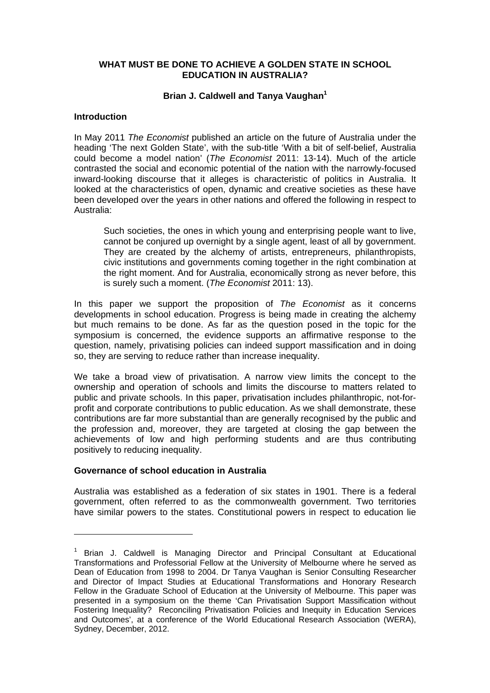### **WHAT MUST BE DONE TO ACHIEVE A GOLDEN STATE IN SCHOOL EDUCATION IN AUSTRALIA?**

#### **Brian J. Caldwell and Tanya Vaughan<sup>1</sup>**

### **Introduction**

In May 2011 *The Economist* published an article on the future of Australia under the heading 'The next Golden State', with the sub-title 'With a bit of self-belief, Australia could become a model nation' (*The Economist* 2011: 13-14). Much of the article contrasted the social and economic potential of the nation with the narrowly-focused inward-looking discourse that it alleges is characteristic of politics in Australia. It looked at the characteristics of open, dynamic and creative societies as these have been developed over the years in other nations and offered the following in respect to Australia:

Such societies, the ones in which young and enterprising people want to live, cannot be conjured up overnight by a single agent, least of all by government. They are created by the alchemy of artists, entrepreneurs, philanthropists, civic institutions and governments coming together in the right combination at the right moment. And for Australia, economically strong as never before, this is surely such a moment. (*The Economist* 2011: 13).

In this paper we support the proposition of *The Economist* as it concerns developments in school education. Progress is being made in creating the alchemy but much remains to be done. As far as the question posed in the topic for the symposium is concerned, the evidence supports an affirmative response to the question, namely, privatising policies can indeed support massification and in doing so, they are serving to reduce rather than increase inequality.

We take a broad view of privatisation. A narrow view limits the concept to the ownership and operation of schools and limits the discourse to matters related to public and private schools. In this paper, privatisation includes philanthropic, not-forprofit and corporate contributions to public education. As we shall demonstrate, these contributions are far more substantial than are generally recognised by the public and the profession and, moreover, they are targeted at closing the gap between the achievements of low and high performing students and are thus contributing positively to reducing inequality.

#### **Governance of school education in Australia**

Australia was established as a federation of six states in 1901. There is a federal government, often referred to as the commonwealth government. Two territories have similar powers to the states. Constitutional powers in respect to education lie

<sup>&</sup>lt;sup>1</sup> Brian J. Caldwell is Managing Director and Principal Consultant at Educational Transformations and Professorial Fellow at the University of Melbourne where he served as Dean of Education from 1998 to 2004. Dr Tanya Vaughan is Senior Consulting Researcher and Director of Impact Studies at Educational Transformations and Honorary Research Fellow in the Graduate School of Education at the University of Melbourne. This paper was presented in a symposium on the theme 'Can Privatisation Support Massification without Fostering Inequality? Reconciling Privatisation Policies and Inequity in Education Services and Outcomes', at a conference of the World Educational Research Association (WERA), Sydney, December, 2012.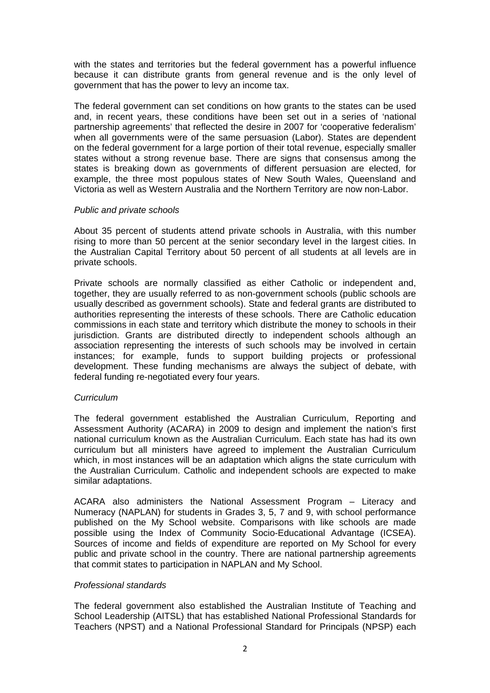with the states and territories but the federal government has a powerful influence because it can distribute grants from general revenue and is the only level of government that has the power to levy an income tax.

The federal government can set conditions on how grants to the states can be used and, in recent years, these conditions have been set out in a series of 'national partnership agreements' that reflected the desire in 2007 for 'cooperative federalism' when all governments were of the same persuasion (Labor). States are dependent on the federal government for a large portion of their total revenue, especially smaller states without a strong revenue base. There are signs that consensus among the states is breaking down as governments of different persuasion are elected, for example, the three most populous states of New South Wales, Queensland and Victoria as well as Western Australia and the Northern Territory are now non-Labor.

### *Public and private schools*

About 35 percent of students attend private schools in Australia, with this number rising to more than 50 percent at the senior secondary level in the largest cities. In the Australian Capital Territory about 50 percent of all students at all levels are in private schools.

Private schools are normally classified as either Catholic or independent and, together, they are usually referred to as non-government schools (public schools are usually described as government schools). State and federal grants are distributed to authorities representing the interests of these schools. There are Catholic education commissions in each state and territory which distribute the money to schools in their jurisdiction. Grants are distributed directly to independent schools although an association representing the interests of such schools may be involved in certain instances; for example, funds to support building projects or professional development. These funding mechanisms are always the subject of debate, with federal funding re-negotiated every four years.

#### *Curriculum*

The federal government established the Australian Curriculum, Reporting and Assessment Authority (ACARA) in 2009 to design and implement the nation's first national curriculum known as the Australian Curriculum. Each state has had its own curriculum but all ministers have agreed to implement the Australian Curriculum which, in most instances will be an adaptation which aligns the state curriculum with the Australian Curriculum. Catholic and independent schools are expected to make similar adaptations.

ACARA also administers the National Assessment Program – Literacy and Numeracy (NAPLAN) for students in Grades 3, 5, 7 and 9, with school performance published on the My School website. Comparisons with like schools are made possible using the Index of Community Socio-Educational Advantage (ICSEA). Sources of income and fields of expenditure are reported on My School for every public and private school in the country. There are national partnership agreements that commit states to participation in NAPLAN and My School.

# *Professional standards*

The federal government also established the Australian Institute of Teaching and School Leadership (AITSL) that has established National Professional Standards for Teachers (NPST) and a National Professional Standard for Principals (NPSP) each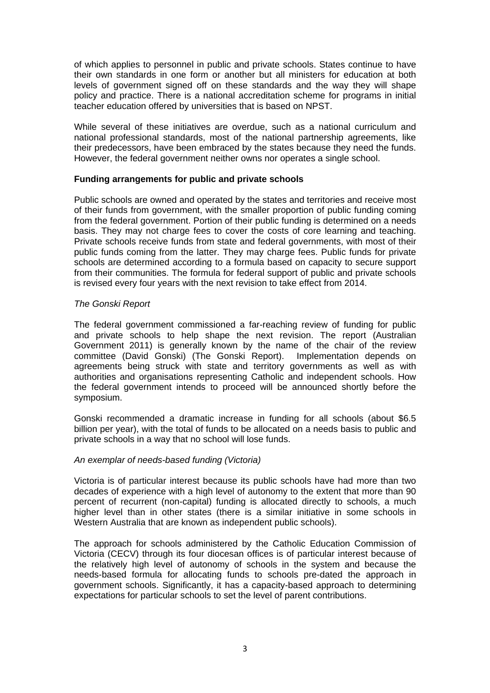of which applies to personnel in public and private schools. States continue to have their own standards in one form or another but all ministers for education at both levels of government signed off on these standards and the way they will shape policy and practice. There is a national accreditation scheme for programs in initial teacher education offered by universities that is based on NPST.

While several of these initiatives are overdue, such as a national curriculum and national professional standards, most of the national partnership agreements, like their predecessors, have been embraced by the states because they need the funds. However, the federal government neither owns nor operates a single school.

### **Funding arrangements for public and private schools**

Public schools are owned and operated by the states and territories and receive most of their funds from government, with the smaller proportion of public funding coming from the federal government. Portion of their public funding is determined on a needs basis. They may not charge fees to cover the costs of core learning and teaching. Private schools receive funds from state and federal governments, with most of their public funds coming from the latter. They may charge fees. Public funds for private schools are determined according to a formula based on capacity to secure support from their communities. The formula for federal support of public and private schools is revised every four years with the next revision to take effect from 2014.

### *The Gonski Report*

The federal government commissioned a far-reaching review of funding for public and private schools to help shape the next revision. The report (Australian Government 2011) is generally known by the name of the chair of the review committee (David Gonski) (The Gonski Report). Implementation depends on agreements being struck with state and territory governments as well as with authorities and organisations representing Catholic and independent schools. How the federal government intends to proceed will be announced shortly before the symposium.

Gonski recommended a dramatic increase in funding for all schools (about \$6.5 billion per year), with the total of funds to be allocated on a needs basis to public and private schools in a way that no school will lose funds.

# *An exemplar of needs-based funding (Victoria)*

Victoria is of particular interest because its public schools have had more than two decades of experience with a high level of autonomy to the extent that more than 90 percent of recurrent (non-capital) funding is allocated directly to schools, a much higher level than in other states (there is a similar initiative in some schools in Western Australia that are known as independent public schools).

The approach for schools administered by the Catholic Education Commission of Victoria (CECV) through its four diocesan offices is of particular interest because of the relatively high level of autonomy of schools in the system and because the needs-based formula for allocating funds to schools pre-dated the approach in government schools. Significantly, it has a capacity-based approach to determining expectations for particular schools to set the level of parent contributions.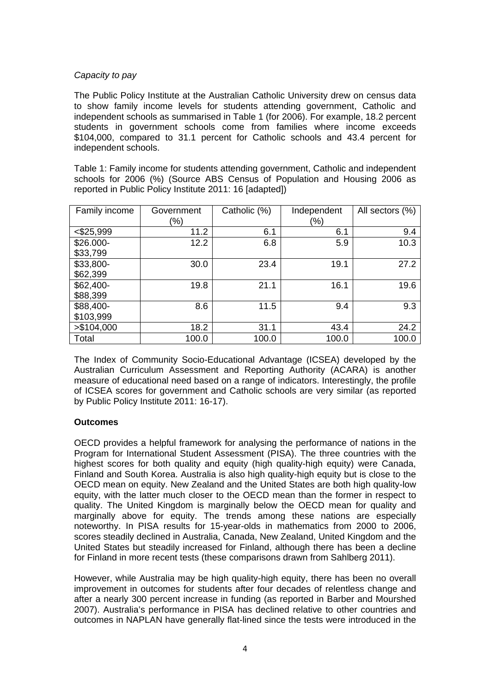# *Capacity to pay*

The Public Policy Institute at the Australian Catholic University drew on census data to show family income levels for students attending government, Catholic and independent schools as summarised in Table 1 (for 2006). For example, 18.2 percent students in government schools come from families where income exceeds \$104,000, compared to 31.1 percent for Catholic schools and 43.4 percent for independent schools.

Table 1: Family income for students attending government, Catholic and independent schools for 2006 (%) (Source ABS Census of Population and Housing 2006 as reported in Public Policy Institute 2011: 16 [adapted])

| Family income | Government | Catholic (%) | Independent | All sectors (%) |
|---------------|------------|--------------|-------------|-----------------|
|               | (%)        |              | (%)         |                 |
| $<$ \$25,999  | 11.2       | 6.1          | 6.1         | 9.4             |
| \$26.000-     | 12.2       | 6.8          | 5.9         | 10.3            |
| \$33,799      |            |              |             |                 |
| \$33,800-     | 30.0       | 23.4         | 19.1        | 27.2            |
| \$62,399      |            |              |             |                 |
| $$62,400-$    | 19.8       | 21.1         | 16.1        | 19.6            |
| \$88,399      |            |              |             |                 |
| \$88,400-     | 8.6        | 11.5         | 9.4         | 9.3             |
| \$103,999     |            |              |             |                 |
| > \$104,000   | 18.2       | 31.1         | 43.4        | 24.2            |
| Total         | 100.0      | 100.0        | 100.0       | 100.0           |

The Index of Community Socio-Educational Advantage (ICSEA) developed by the Australian Curriculum Assessment and Reporting Authority (ACARA) is another measure of educational need based on a range of indicators. Interestingly, the profile of ICSEA scores for government and Catholic schools are very similar (as reported by Public Policy Institute 2011: 16-17).

# **Outcomes**

OECD provides a helpful framework for analysing the performance of nations in the Program for International Student Assessment (PISA). The three countries with the highest scores for both quality and equity (high quality-high equity) were Canada, Finland and South Korea. Australia is also high quality-high equity but is close to the OECD mean on equity. New Zealand and the United States are both high quality-low equity, with the latter much closer to the OECD mean than the former in respect to quality. The United Kingdom is marginally below the OECD mean for quality and marginally above for equity. The trends among these nations are especially noteworthy. In PISA results for 15-year-olds in mathematics from 2000 to 2006, scores steadily declined in Australia, Canada, New Zealand, United Kingdom and the United States but steadily increased for Finland, although there has been a decline for Finland in more recent tests (these comparisons drawn from Sahlberg 2011).

However, while Australia may be high quality-high equity, there has been no overall improvement in outcomes for students after four decades of relentless change and after a nearly 300 percent increase in funding (as reported in Barber and Mourshed 2007). Australia's performance in PISA has declined relative to other countries and outcomes in NAPLAN have generally flat-lined since the tests were introduced in the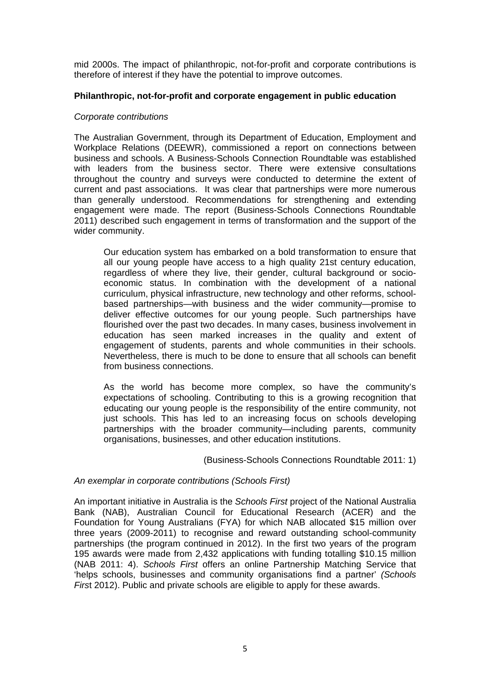mid 2000s. The impact of philanthropic, not-for-profit and corporate contributions is therefore of interest if they have the potential to improve outcomes.

# **Philanthropic, not-for-profit and corporate engagement in public education**

### *Corporate contributions*

The Australian Government, through its Department of Education, Employment and Workplace Relations (DEEWR), commissioned a report on connections between business and schools. A Business-Schools Connection Roundtable was established with leaders from the business sector. There were extensive consultations throughout the country and surveys were conducted to determine the extent of current and past associations. It was clear that partnerships were more numerous than generally understood. Recommendations for strengthening and extending engagement were made. The report (Business-Schools Connections Roundtable 2011) described such engagement in terms of transformation and the support of the wider community.

Our education system has embarked on a bold transformation to ensure that all our young people have access to a high quality 21st century education, regardless of where they live, their gender, cultural background or socioeconomic status. In combination with the development of a national curriculum, physical infrastructure, new technology and other reforms, schoolbased partnerships—with business and the wider community—promise to deliver effective outcomes for our young people. Such partnerships have flourished over the past two decades. In many cases, business involvement in education has seen marked increases in the quality and extent of engagement of students, parents and whole communities in their schools. Nevertheless, there is much to be done to ensure that all schools can benefit from business connections.

As the world has become more complex, so have the community's expectations of schooling. Contributing to this is a growing recognition that educating our young people is the responsibility of the entire community, not just schools. This has led to an increasing focus on schools developing partnerships with the broader community—including parents, community organisations, businesses, and other education institutions.

(Business-Schools Connections Roundtable 2011: 1)

# *An exemplar in corporate contributions (Schools First)*

An important initiative in Australia is the *Schools First* project of the National Australia Bank (NAB), Australian Council for Educational Research (ACER) and the Foundation for Young Australians (FYA) for which NAB allocated \$15 million over three years (2009-2011) to recognise and reward outstanding school-community partnerships (the program continued in 2012). In the first two years of the program 195 awards were made from 2,432 applications with funding totalling \$10.15 million (NAB 2011: 4). *Schools First* offers an online Partnership Matching Service that 'helps schools, businesses and community organisations find a partner' *(Schools Firs*t 2012). Public and private schools are eligible to apply for these awards.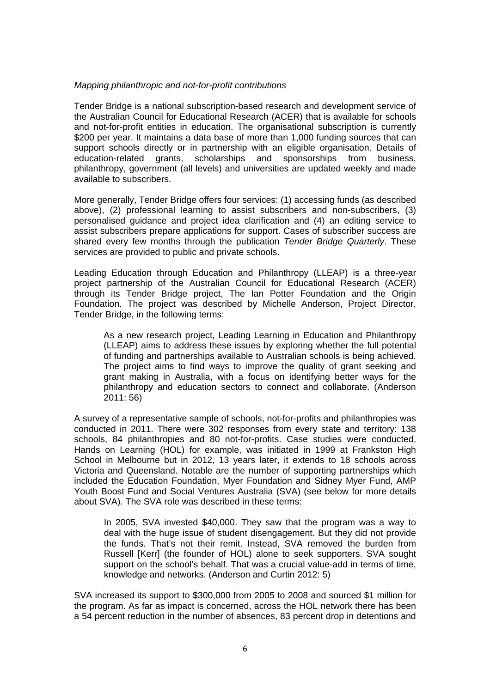### *Mapping philanthropic and not-for-profit contributions*

Tender Bridge is a national subscription-based research and development service of the Australian Council for Educational Research (ACER) that is available for schools and not-for-profit entities in education. The organisational subscription is currently \$200 per year. It maintains a data base of more than 1,000 funding sources that can support schools directly or in partnership with an eligible organisation. Details of education-related grants, scholarships and sponsorships from business, philanthropy, government (all levels) and universities are updated weekly and made available to subscribers.

More generally, Tender Bridge offers four services: (1) accessing funds (as described above), (2) professional learning to assist subscribers and non-subscribers, (3) personalised guidance and project idea clarification and (4) an editing service to assist subscribers prepare applications for support. Cases of subscriber success are shared every few months through the publication *Tender Bridge Quarterly*. These services are provided to public and private schools.

Leading Education through Education and Philanthropy (LLEAP) is a three-year project partnership of the Australian Council for Educational Research (ACER) through its Tender Bridge project, The Ian Potter Foundation and the Origin Foundation. The project was described by Michelle Anderson, Project Director, Tender Bridge, in the following terms:

As a new research project, Leading Learning in Education and Philanthropy (LLEAP) aims to address these issues by exploring whether the full potential of funding and partnerships available to Australian schools is being achieved. The project aims to find ways to improve the quality of grant seeking and grant making in Australia, with a focus on identifying better ways for the philanthropy and education sectors to connect and collaborate. (Anderson 2011: 56)

A survey of a representative sample of schools, not-for-profits and philanthropies was conducted in 2011. There were 302 responses from every state and territory: 138 schools, 84 philanthropies and 80 not-for-profits. Case studies were conducted. Hands on Learning (HOL) for example, was initiated in 1999 at Frankston High School in Melbourne but in 2012, 13 years later, it extends to 18 schools across Victoria and Queensland. Notable are the number of supporting partnerships which included the Education Foundation, Myer Foundation and Sidney Myer Fund, AMP Youth Boost Fund and Social Ventures Australia (SVA) (see below for more details about SVA). The SVA role was described in these terms:

In 2005, SVA invested \$40,000. They saw that the program was a way to deal with the huge issue of student disengagement. But they did not provide the funds. That's not their remit. Instead, SVA removed the burden from Russell [Kerr] (the founder of HOL) alone to seek supporters. SVA sought support on the school's behalf. That was a crucial value-add in terms of time, knowledge and networks. (Anderson and Curtin 2012: 5)

SVA increased its support to \$300,000 from 2005 to 2008 and sourced \$1 million for the program. As far as impact is concerned, across the HOL network there has been a 54 percent reduction in the number of absences, 83 percent drop in detentions and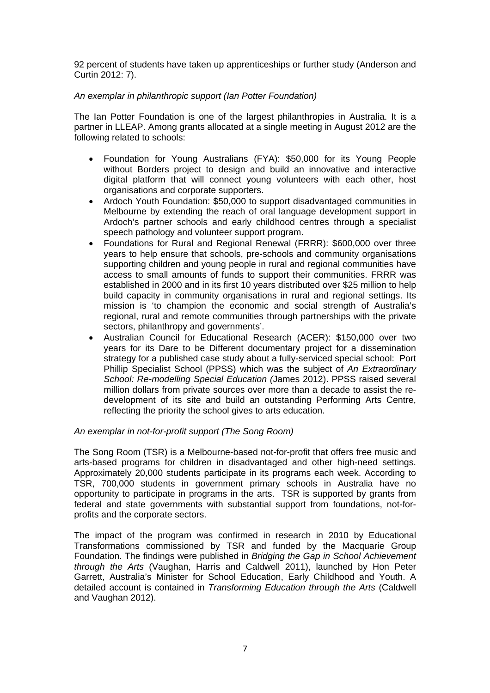92 percent of students have taken up apprenticeships or further study (Anderson and Curtin 2012: 7).

### *An exemplar in philanthropic support (Ian Potter Foundation)*

The Ian Potter Foundation is one of the largest philanthropies in Australia. It is a partner in LLEAP. Among grants allocated at a single meeting in August 2012 are the following related to schools:

- Foundation for Young Australians (FYA): \$50,000 for its Young People without Borders project to design and build an innovative and interactive digital platform that will connect young volunteers with each other, host organisations and corporate supporters.
- Ardoch Youth Foundation: \$50,000 to support disadvantaged communities in Melbourne by extending the reach of oral language development support in Ardoch's partner schools and early childhood centres through a specialist speech pathology and volunteer support program.
- Foundations for Rural and Regional Renewal (FRRR): \$600,000 over three years to help ensure that schools, pre-schools and community organisations supporting children and young people in rural and regional communities have access to small amounts of funds to support their communities. FRRR was established in 2000 and in its first 10 years distributed over \$25 million to help build capacity in community organisations in rural and regional settings. Its mission is 'to champion the economic and social strength of Australia's regional, rural and remote communities through partnerships with the private sectors, philanthropy and governments'.
- Australian Council for Educational Research (ACER): \$150,000 over two years for its Dare to be Different documentary project for a dissemination strategy for a published case study about a fully-serviced special school: Port Phillip Specialist School (PPSS) which was the subject of *An Extraordinary School: Re-modelling Special Education (*James 2012). PPSS raised several million dollars from private sources over more than a decade to assist the redevelopment of its site and build an outstanding Performing Arts Centre, reflecting the priority the school gives to arts education.

#### *An exemplar in not-for-profit support (The Song Room)*

The Song Room (TSR) is a Melbourne-based not-for-profit that offers free music and arts-based programs for children in disadvantaged and other high-need settings. Approximately 20,000 students participate in its programs each week. According to TSR, 700,000 students in government primary schools in Australia have no opportunity to participate in programs in the arts. TSR is supported by grants from federal and state governments with substantial support from foundations, not-forprofits and the corporate sectors.

The impact of the program was confirmed in research in 2010 by Educational Transformations commissioned by TSR and funded by the Macquarie Group Foundation. The findings were published in *Bridging the Gap in School Achievement through the Arts* (Vaughan, Harris and Caldwell 2011), launched by Hon Peter Garrett, Australia's Minister for School Education, Early Childhood and Youth. A detailed account is contained in *Transforming Education through the Arts* (Caldwell and Vaughan 2012).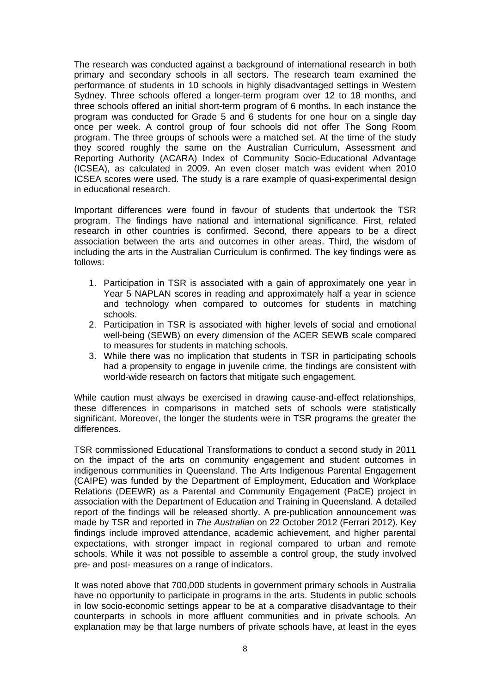The research was conducted against a background of international research in both primary and secondary schools in all sectors. The research team examined the performance of students in 10 schools in highly disadvantaged settings in Western Sydney. Three schools offered a longer-term program over 12 to 18 months, and three schools offered an initial short-term program of 6 months. In each instance the program was conducted for Grade 5 and 6 students for one hour on a single day once per week. A control group of four schools did not offer The Song Room program. The three groups of schools were a matched set. At the time of the study they scored roughly the same on the Australian Curriculum, Assessment and Reporting Authority (ACARA) Index of Community Socio-Educational Advantage (ICSEA), as calculated in 2009. An even closer match was evident when 2010 ICSEA scores were used. The study is a rare example of quasi-experimental design in educational research.

Important differences were found in favour of students that undertook the TSR program. The findings have national and international significance. First, related research in other countries is confirmed. Second, there appears to be a direct association between the arts and outcomes in other areas. Third, the wisdom of including the arts in the Australian Curriculum is confirmed. The key findings were as follows:

- 1. Participation in TSR is associated with a gain of approximately one year in Year 5 NAPLAN scores in reading and approximately half a year in science and technology when compared to outcomes for students in matching schools.
- 2. Participation in TSR is associated with higher levels of social and emotional well-being (SEWB) on every dimension of the ACER SEWB scale compared to measures for students in matching schools.
- 3. While there was no implication that students in TSR in participating schools had a propensity to engage in juvenile crime, the findings are consistent with world-wide research on factors that mitigate such engagement.

While caution must always be exercised in drawing cause-and-effect relationships, these differences in comparisons in matched sets of schools were statistically significant. Moreover, the longer the students were in TSR programs the greater the differences.

TSR commissioned Educational Transformations to conduct a second study in 2011 on the impact of the arts on community engagement and student outcomes in indigenous communities in Queensland. The Arts Indigenous Parental Engagement (CAIPE) was funded by the Department of Employment, Education and Workplace Relations (DEEWR) as a Parental and Community Engagement (PaCE) project in association with the Department of Education and Training in Queensland. A detailed report of the findings will be released shortly. A pre-publication announcement was made by TSR and reported in *The Australian* on 22 October 2012 (Ferrari 2012). Key findings include improved attendance, academic achievement, and higher parental expectations, with stronger impact in regional compared to urban and remote schools. While it was not possible to assemble a control group, the study involved pre- and post- measures on a range of indicators.

It was noted above that 700,000 students in government primary schools in Australia have no opportunity to participate in programs in the arts. Students in public schools in low socio-economic settings appear to be at a comparative disadvantage to their counterparts in schools in more affluent communities and in private schools. An explanation may be that large numbers of private schools have, at least in the eyes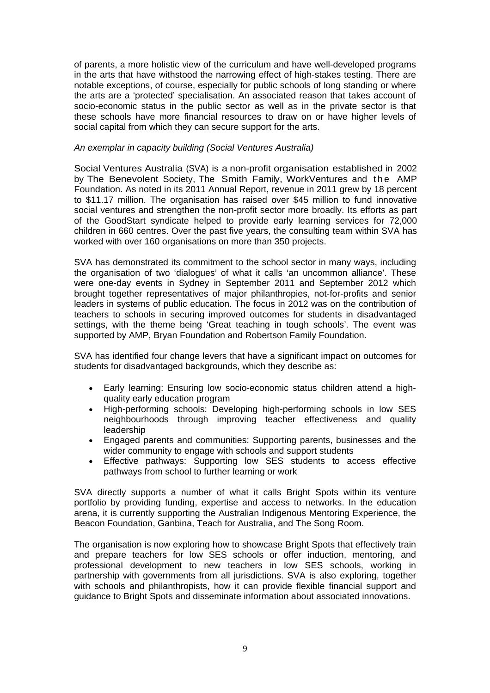of parents, a more holistic view of the curriculum and have well-developed programs in the arts that have withstood the narrowing effect of high-stakes testing. There are notable exceptions, of course, especially for public schools of long standing or where the arts are a 'protected' specialisation. An associated reason that takes account of socio-economic status in the public sector as well as in the private sector is that these schools have more financial resources to draw on or have higher levels of social capital from which they can secure support for the arts.

#### *An exemplar in capacity building (Social Ventures Australia)*

Social Ventures Australia (SVA) is a non-profit organisation established in 2002 by The Benevolent Society, The Smith Family, WorkVentures and the AMP Foundation. As noted in its 2011 Annual Report, revenue in 2011 grew by 18 percent to \$11.17 million. The organisation has raised over \$45 million to fund innovative social ventures and strengthen the non-profit sector more broadly. Its efforts as part of the GoodStart syndicate helped to provide early learning services for 72,000 children in 660 centres. Over the past five years, the consulting team within SVA has worked with over 160 organisations on more than 350 projects.

SVA has demonstrated its commitment to the school sector in many ways, including the organisation of two 'dialogues' of what it calls 'an uncommon alliance'. These were one-day events in Sydney in September 2011 and September 2012 which brought together representatives of major philanthropies, not-for-profits and senior leaders in systems of public education. The focus in 2012 was on the contribution of teachers to schools in securing improved outcomes for students in disadvantaged settings, with the theme being 'Great teaching in tough schools'. The event was supported by AMP, Bryan Foundation and Robertson Family Foundation.

SVA has identified four change levers that have a significant impact on outcomes for students for disadvantaged backgrounds, which they describe as:

- Early learning: Ensuring low socio-economic status children attend a highquality early education program
- High-performing schools: Developing high-performing schools in low SES neighbourhoods through improving teacher effectiveness and quality leadership
- Engaged parents and communities: Supporting parents, businesses and the wider community to engage with schools and support students
- Effective pathways: Supporting low SES students to access effective pathways from school to further learning or work

SVA directly supports a number of what it calls Bright Spots within its venture portfolio by providing funding, expertise and access to networks. In the education arena, it is currently supporting the Australian Indigenous Mentoring Experience, the Beacon Foundation, Ganbina, Teach for Australia, and The Song Room.

The organisation is now exploring how to showcase Bright Spots that effectively train and prepare teachers for low SES schools or offer induction, mentoring, and professional development to new teachers in low SES schools, working in partnership with governments from all jurisdictions. SVA is also exploring, together with schools and philanthropists, how it can provide flexible financial support and guidance to Bright Spots and disseminate information about associated innovations.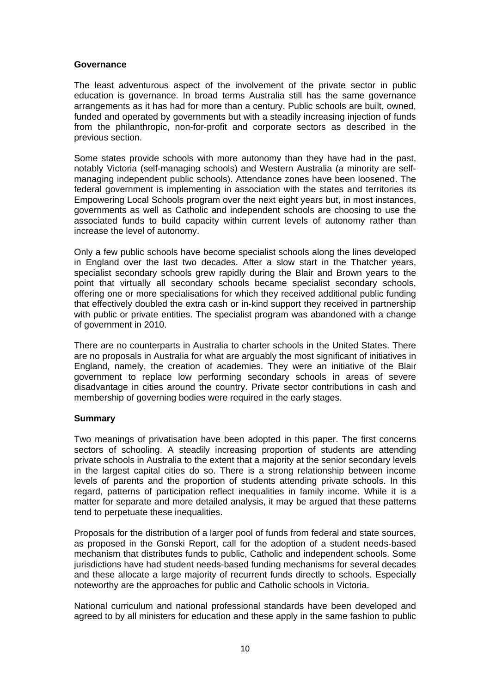#### **Governance**

The least adventurous aspect of the involvement of the private sector in public education is governance. In broad terms Australia still has the same governance arrangements as it has had for more than a century. Public schools are built, owned, funded and operated by governments but with a steadily increasing injection of funds from the philanthropic, non-for-profit and corporate sectors as described in the previous section.

Some states provide schools with more autonomy than they have had in the past, notably Victoria (self-managing schools) and Western Australia (a minority are selfmanaging independent public schools). Attendance zones have been loosened. The federal government is implementing in association with the states and territories its Empowering Local Schools program over the next eight years but, in most instances, governments as well as Catholic and independent schools are choosing to use the associated funds to build capacity within current levels of autonomy rather than increase the level of autonomy.

Only a few public schools have become specialist schools along the lines developed in England over the last two decades. After a slow start in the Thatcher years, specialist secondary schools grew rapidly during the Blair and Brown years to the point that virtually all secondary schools became specialist secondary schools, offering one or more specialisations for which they received additional public funding that effectively doubled the extra cash or in-kind support they received in partnership with public or private entities. The specialist program was abandoned with a change of government in 2010.

There are no counterparts in Australia to charter schools in the United States. There are no proposals in Australia for what are arguably the most significant of initiatives in England, namely, the creation of academies. They were an initiative of the Blair government to replace low performing secondary schools in areas of severe disadvantage in cities around the country. Private sector contributions in cash and membership of governing bodies were required in the early stages.

# **Summary**

Two meanings of privatisation have been adopted in this paper. The first concerns sectors of schooling. A steadily increasing proportion of students are attending private schools in Australia to the extent that a majority at the senior secondary levels in the largest capital cities do so. There is a strong relationship between income levels of parents and the proportion of students attending private schools. In this regard, patterns of participation reflect inequalities in family income. While it is a matter for separate and more detailed analysis, it may be argued that these patterns tend to perpetuate these inequalities.

Proposals for the distribution of a larger pool of funds from federal and state sources, as proposed in the Gonski Report, call for the adoption of a student needs-based mechanism that distributes funds to public, Catholic and independent schools. Some jurisdictions have had student needs-based funding mechanisms for several decades and these allocate a large majority of recurrent funds directly to schools. Especially noteworthy are the approaches for public and Catholic schools in Victoria.

National curriculum and national professional standards have been developed and agreed to by all ministers for education and these apply in the same fashion to public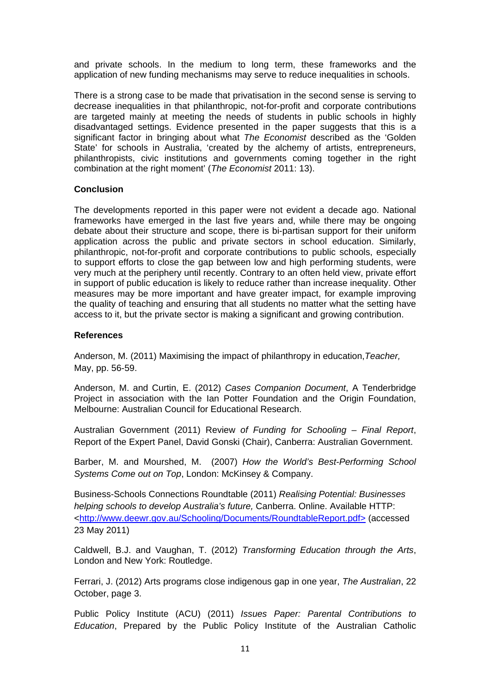and private schools. In the medium to long term, these frameworks and the application of new funding mechanisms may serve to reduce inequalities in schools.

There is a strong case to be made that privatisation in the second sense is serving to decrease inequalities in that philanthropic, not-for-profit and corporate contributions are targeted mainly at meeting the needs of students in public schools in highly disadvantaged settings. Evidence presented in the paper suggests that this is a significant factor in bringing about what *The Economist* described as the 'Golden State' for schools in Australia, 'created by the alchemy of artists, entrepreneurs, philanthropists, civic institutions and governments coming together in the right combination at the right moment' (*The Economist* 2011: 13).

### **Conclusion**

The developments reported in this paper were not evident a decade ago. National frameworks have emerged in the last five years and, while there may be ongoing debate about their structure and scope, there is bi-partisan support for their uniform application across the public and private sectors in school education. Similarly, philanthropic, not-for-profit and corporate contributions to public schools, especially to support efforts to close the gap between low and high performing students, were very much at the periphery until recently. Contrary to an often held view, private effort in support of public education is likely to reduce rather than increase inequality. Other measures may be more important and have greater impact, for example improving the quality of teaching and ensuring that all students no matter what the setting have access to it, but the private sector is making a significant and growing contribution.

### **References**

Anderson, M. (2011) Maximising the impact of philanthropy in education,*Teacher,*  May, pp. 56-59.

Anderson, M. and Curtin, E. (2012) *Cases Companion Document*, A Tenderbridge Project in association with the Ian Potter Foundation and the Origin Foundation, Melbourne: Australian Council for Educational Research.

Australian Government (2011) Review *of Funding for Schooling – Final Report*, Report of the Expert Panel, David Gonski (Chair), Canberra: Australian Government.

Barber, M. and Mourshed, M. (2007) *How the World's Best-Performing School Systems Come out on Top*, London: McKinsey & Company.

Business-Schools Connections Roundtable (2011) *Realising Potential: Businesses helping schools to develop Australia's future,* Canberra. Online. Available HTTP: <http://www.deewr.gov.au/Schooling/Documents/RoundtableReport.pdf> (accessed 23 May 2011)

Caldwell, B.J. and Vaughan, T. (2012) *Transforming Education through the Arts*, London and New York: Routledge.

Ferrari, J. (2012) Arts programs close indigenous gap in one year, *The Australian*, 22 October, page 3.

Public Policy Institute (ACU) (2011) *Issues Paper: Parental Contributions to Education*, Prepared by the Public Policy Institute of the Australian Catholic